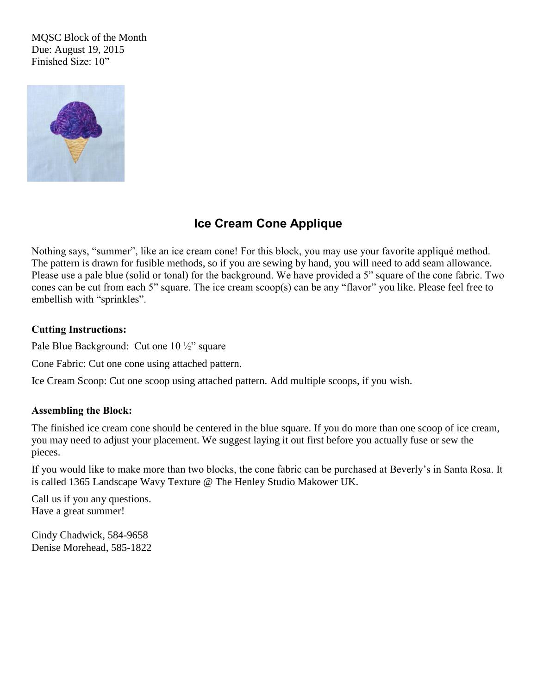MQSC Block of the Month Due: August 19, 2015 Finished Size: 10"



## **Ice Cream Cone Applique**

Nothing says, "summer", like an ice cream cone! For this block, you may use your favorite appliqué method. The pattern is drawn for fusible methods, so if you are sewing by hand, you will need to add seam allowance. Please use a pale blue (solid or tonal) for the background. We have provided a 5" square of the cone fabric. Two cones can be cut from each 5" square. The ice cream scoop(s) can be any "flavor" you like. Please feel free to embellish with "sprinkles".

## **Cutting Instructions:**

Pale Blue Background: Cut one 10 ½" square

Cone Fabric: Cut one cone using attached pattern.

Ice Cream Scoop: Cut one scoop using attached pattern. Add multiple scoops, if you wish.

## **Assembling the Block:**

The finished ice cream cone should be centered in the blue square. If you do more than one scoop of ice cream, you may need to adjust your placement. We suggest laying it out first before you actually fuse or sew the pieces.

If you would like to make more than two blocks, the cone fabric can be purchased at Beverly's in Santa Rosa. It is called 1365 Landscape Wavy Texture @ The Henley Studio Makower UK.

Call us if you any questions. Have a great summer!

Cindy Chadwick, 584-9658 Denise Morehead, 585-1822